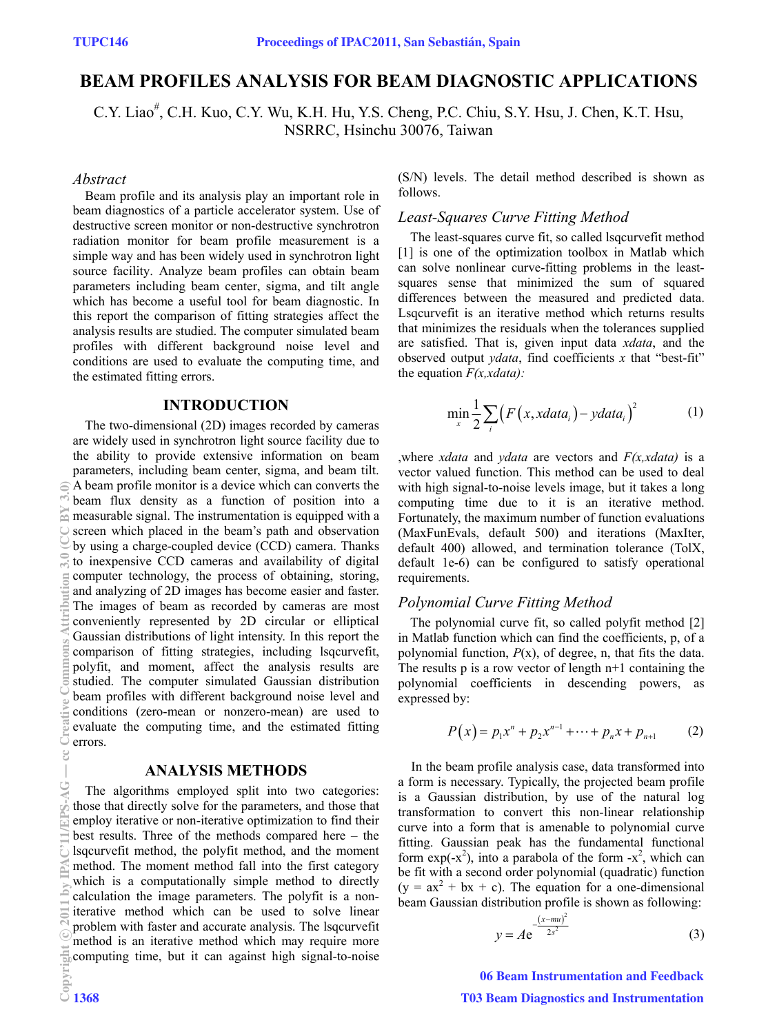# **BEAM PROFILES ANALYSIS FOR BEAM DIAGNOSTIC APPLICATIONS**

C.Y. Liao<sup>#</sup>, C.H. Kuo, C.Y. Wu, K.H. Hu, Y.S. Cheng, P.C. Chiu, S.Y. Hsu, J. Chen, K.T. Hsu, NSRRC, Hsinchu 30076, Taiwan

### *Abstract*

Beam profile and its analysis play an important role in beam diagnostics of a particle accelerator system. Use of destructive screen monitor or non-destructive synchrotron radiation monitor for beam profile measurement is a simple way and has been widely used in synchrotron light source facility. Analyze beam profiles can obtain beam parameters including beam center, sigma, and tilt angle which has become a useful tool for beam diagnostic. In this report the comparison of fitting strategies affect the analysis results are studied. The computer simulated beam profiles with different background noise level and conditions are used to evaluate the computing time, and the estimated fitting errors.

#### **INTRODUCTION**

The two-dimensional (2D) images recorded by cameras are widely used in synchrotron light source facility due to the ability to provide extensive information on beam parameters, including beam center, sigma, and beam tilt. A beam profile monitor is a device which can converts the beam flux density as a function of position into a measurable signal. The instrumentation is equipped with a screen which placed in the beam's path and observation by using a charge-coupled device (CCD) camera. Thanks to inexpensive CCD cameras and availability of digital computer technology, the process of obtaining, storing, and analyzing of 2D images has become easier and faster. The images of beam as recorded by cameras are most conveniently represented by 2D circular or elliptical Gaussian distributions of light intensity. In this report the comparison of fitting strategies, including lsqcurvefit, polyfit, and moment, affect the analysis results are studied. The computer simulated Gaussian distribution beam profiles with different background noise level and conditions (zero-mean or nonzero-mean) are used to evaluate the computing time, and the estimated fitting errors.

### **ANALYSIS METHODS**

The algorithms employed split into two categories: those that directly solve for the parameters, and those that employ iterative or non-iterative optimization to find their best results. Three of the methods compared here – the lsqcurvefit method, the polyfit method, and the moment method. The moment method fall into the first category which is a computationally simple method to directly calculation the image parameters. The polyfit is a noniterative method which can be used to solve linear problem with faster and accurate analysis. The lsqcurvefit method is an iterative method which may require more computing time, but it can against high signal-to-noise (S/N) levels. The detail method described is shown as follows.

## *Least-Squares Curve Fitting Method*

The least-squares curve fit, so called lsqcurvefit method [1] is one of the optimization toolbox in Matlab which can solve nonlinear curve-fitting problems in the leastsquares sense that minimized the sum of squared differences between the measured and predicted data. Lsqcurvefit is an iterative method which returns results that minimizes the residuals when the tolerances supplied are satisfied. That is, given input data *xdata*, and the observed output *ydata*, find coefficients *x* that "best-fit" the equation *F(x,xdata):* 

$$
\min_{x} \frac{1}{2} \sum_{i} \left( F\left(x, xdata_i\right) - ydata_i\right)^2 \tag{1}
$$

,where *xdata* and *ydata* are vectors and *F(x,xdata)* is a vector valued function. This method can be used to deal with high signal-to-noise levels image, but it takes a long computing time due to it is an iterative method. Fortunately, the maximum number of function evaluations (MaxFunEvals, default 500) and iterations (MaxIter, default 400) allowed, and termination tolerance (TolX, default 1e-6) can be configured to satisfy operational requirements.

### *Polynomial Curve Fitting Method*

The polynomial curve fit, so called polyfit method [2] in Matlab function which can find the coefficients, p, of a polynomial function, *P*(x), of degree, n, that fits the data. The results  $p$  is a row vector of length  $n+1$  containing the polynomial coefficients in descending powers, as expressed by:

$$
P(x) = p_1 x^n + p_2 x^{n-1} + \dots + p_n x + p_{n+1} \tag{2}
$$

In the beam profile analysis case, data transformed into a form is necessary. Typically, the projected beam profile is a Gaussian distribution, by use of the natural log transformation to convert this non-linear relationship curve into a form that is amenable to polynomial curve fitting. Gaussian peak has the fundamental functional form  $exp(-x^2)$ , into a parabola of the form  $-x^2$ , which can be fit with a second order polynomial (quadratic) function  $(y = ax<sup>2</sup> + bx + c)$ . The equation for a one-dimensional beam Gaussian distribution profile is shown as following:

$$
y = Ae^{-\frac{(x-mu)^2}{2s^2}}
$$
 (3)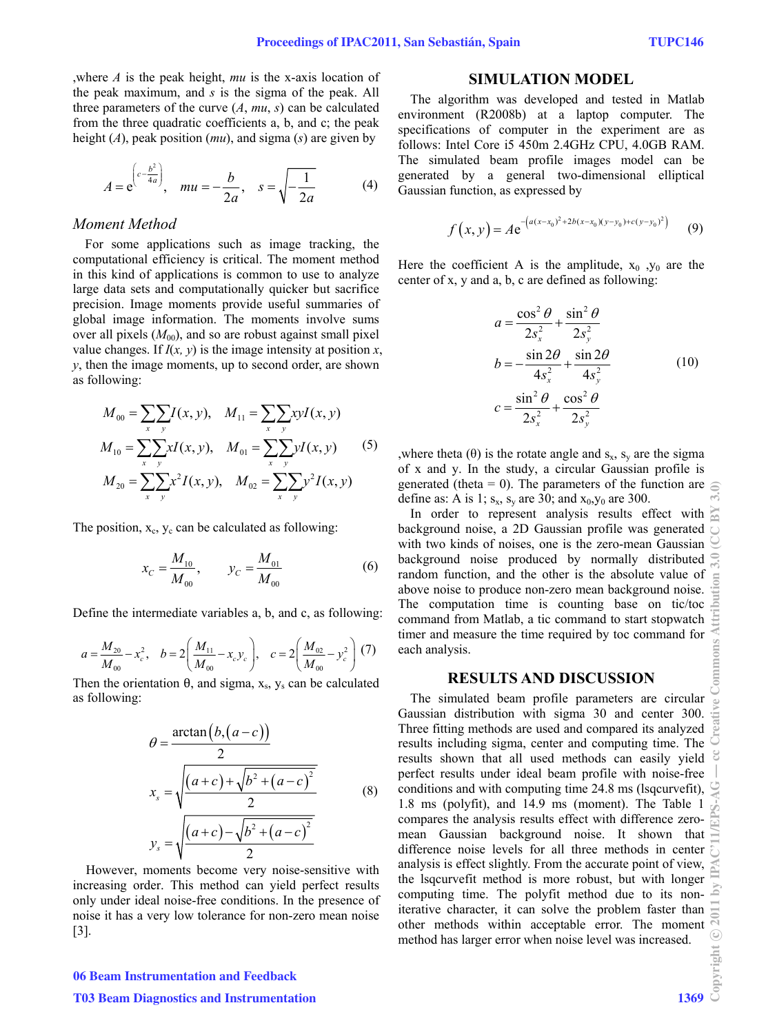,where *A* is the peak height, *mu* is the x-axis location of the peak maximum, and *s* is the sigma of the peak. All three parameters of the curve  $(A, mu, s)$  can be calculated from the three quadratic coefficients a, b, and c; the peak height (*A*), peak position (*mu*), and sigma (*s*) are given by

$$
A = e^{\left(c - \frac{b^2}{4a}\right)}, \quad mu = -\frac{b}{2a}, \quad s = \sqrt{-\frac{1}{2a}} \tag{4}
$$

### *Moment Method*

For some applications such as image tracking, the computational efficiency is critical. The moment method in this kind of applications is common to use to analyze large data sets and computationally quicker but sacrifice precision. Image moments provide useful summaries of global image information. The moments involve sums over all pixels  $(M_{00})$ , and so are robust against small pixel value changes. If  $I(x, y)$  is the image intensity at position  $x$ , *y*, then the image moments, up to second order, are shown as following:

$$
M_{00} = \sum_{x} \sum_{y} I(x, y), \quad M_{11} = \sum_{x} \sum_{y} xyI(x, y)
$$
  
\n
$$
M_{10} = \sum_{x} \sum_{y} xI(x, y), \quad M_{01} = \sum_{x} \sum_{y} yI(x, y)
$$
 (5)  
\n
$$
M_{20} = \sum_{x} \sum_{y} x^{2}I(x, y), \quad M_{02} = \sum_{x} \sum_{y} y^{2}I(x, y)
$$

The position,  $x_c$ ,  $y_c$  can be calculated as following:

$$
x_C = \frac{M_{10}}{M_{00}}, \qquad y_C = \frac{M_{01}}{M_{00}} \tag{6}
$$

Define the intermediate variables a, b, and c, as following:

$$
a = \frac{M_{20}}{M_{00}} - x_c^2, \quad b = 2\left(\frac{M_{11}}{M_{00}} - x_c y_c\right), \quad c = 2\left(\frac{M_{02}}{M_{00}} - y_c^2\right) (7)
$$

Then the orientation  $\theta$ , and sigma,  $x_s$ ,  $y_s$  can be calculated as following:

$$
\theta = \frac{\arctan(b, (a-c))}{2}
$$
  

$$
x_s = \sqrt{\frac{(a+c) + \sqrt{b^2 + (a-c)^2}}{2}}
$$
 (8)  

$$
y_s = \sqrt{\frac{(a+c) - \sqrt{b^2 + (a-c)^2}}{2}}
$$

However, moments become very noise-sensitive with increasing order. This method can yield perfect results only under ideal noise-free conditions. In the presence of noise it has a very low tolerance for non-zero mean noise [3].

# 06 Beam Instrumentation and Feedback **T03 Beam Diagnostics and Instrumentation**

### **SIMULATION MODEL**

The algorithm was developed and tested in Matlab environment (R2008b) at a laptop computer. The specifications of computer in the experiment are as follows: Intel Core i5 450m 2.4GHz CPU, 4.0GB RAM. The simulated beam profile images model can be generated by a general two-dimensional elliptical Gaussian function, as expressed by

$$
f(x, y) = Ae^{-(a(x-x_0)^2 + 2b(x-x_0)(y-y_0) + c(y-y_0)^2)}
$$
 (9)

Here the coefficient A is the amplitude,  $x_0$ ,  $y_0$  are the center of x, y and a, b, c are defined as following:

$$
a = \frac{\cos^2 \theta}{2s_x^2} + \frac{\sin^2 \theta}{2s_y^2}
$$
  
\n
$$
b = -\frac{\sin 2\theta}{4s_x^2} + \frac{\sin 2\theta}{4s_y^2}
$$
  
\n
$$
c = \frac{\sin^2 \theta}{2s_x^2} + \frac{\cos^2 \theta}{2s_y^2}
$$
  
\n(10)

, where theta (θ) is the rotate angle and  $s_x$ ,  $s_y$  are the sigma of x and y. In the study, a circular Gaussian profile is generated (theta  $= 0$ ). The parameters of the function are define as: A is 1;  $s_x$ ,  $s_y$  are 30; and  $x_0$ ,  $y_0$  are 300.

In order to represent analysis results effect with background noise, a 2D Gaussian profile was generated with two kinds of noises, one is the zero-mean Gaussian background noise produced by normally distributed random function, and the other is the absolute value of above noise to produce non-zero mean background noise. The computation time is counting base on tic/toc command from Matlab, a tic command to start stopwatch timer and measure the time required by toc command for each analysis.

### **RESULTS AND DISCUSSION**

The simulated beam profile parameters are circular Gaussian distribution with sigma 30 and center 300. Three fitting methods are used and compared its analyzed results including sigma, center and computing time. The results shown that all used methods can easily yield perfect results under ideal beam profile with noise-free conditions and with computing time 24.8 ms (lsqcurvefit),  $\heartsuit$ 1.8 ms (polyfit), and 14.9 ms (moment). The Table 1 compares the analysis results effect with difference zeromean Gaussian background noise. It shown that difference noise levels for all three methods in center analysis is effect slightly. From the accurate point of view, the lsqcurvefit method is more robust, but with longer computing time. The polyfit method due to its noniterative character, it can solve the problem faster than other methods within acceptable error. The moment method has larger error when noise level was increased.<br>  $\frac{2}{50}$ <br>
1369